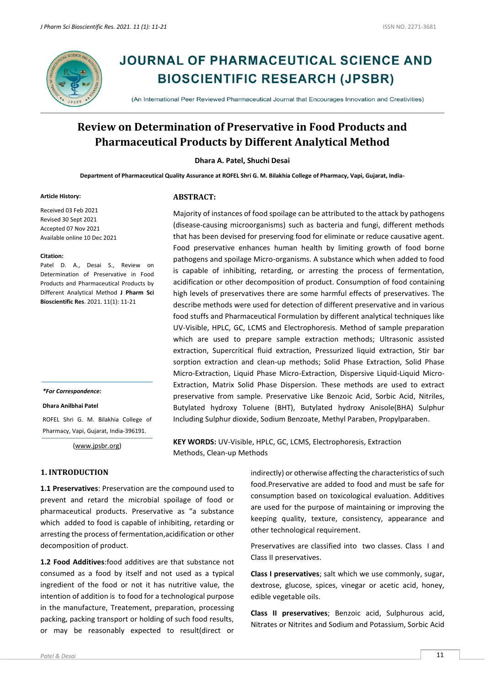

# **JOURNAL OF PHARMACEUTICAL SCIENCE AND BIOSCIENTIFIC RESEARCH (JPSBR)**

(An International Peer Reviewed Pharmaceutical Journal that Encourages Innovation and Creativities)

## **Review on Determination of Preservative in Food Products and Pharmaceutical Products by Different Analytical Method**

**Dhara A. Patel, Shuchi Desai**

**Department of Pharmaceutical Quality Assurance at ROFEL Shri G. M. Bilakhia College of Pharmacy, Vapi, Gujarat, India-**

#### **Article History:**

Received 03 Feb 2021 Revised 30 Sept 2021 Accepted 07 Nov 2021 Available online 10 Dec 2021

#### **Citation:**

Patel D. A., Desai S., Review on Determination of Preservative in Food Products and Pharmaceutical Products by Different Analytical Method **J Pharm Sci Bioscientific Res**. 2021. 11(1): 11-21

#### *\*For Correspondence:*

**Dhara Anilbhai Patel**

ROFEL Shri G. M. Bilakhia College of Pharmacy, Vapi, Gujarat, India-396191.

[\(www.jpsbr.org\)](http://www.jpsbr.org/)

#### **1. INTRODUCTION**

**1.1 Preservatives**: Preservation are the compound used to prevent and retard the microbial spoilage of food or pharmaceutical products. Preservative as "a substance which added to food is capable of inhibiting, retarding or arresting the process of fermentation,acidification or other decomposition of product.

**1.2 Food Additives**:food additives are that substance not consumed as a food by itself and not used as a typical ingredient of the food or not it has nutritive value, the intention of addition is to food for a technological purpose in the manufacture, Treatement, preparation, processing packing, packing transport or holding of such food results, or may be reasonably expected to result(direct or

**ABSTRACT:**

Majority of instances of food spoilage can be attributed to the attack by pathogens (disease-causing microorganisms) such as bacteria and fungi, different methods that has been devised for preserving food for eliminate or reduce causative agent. Food preservative enhances human health by limiting growth of food borne pathogens and spoilage Micro-organisms. A substance which when added to food is capable of inhibiting, retarding, or arresting the process of fermentation, acidification or other decomposition of product. Consumption of food containing high levels of preservatives there are some harmful effects of preservatives. The describe methods were used for detection of different preservative and in various food stuffs and Pharmaceutical Formulation by different analytical techniques like UV-Visible, HPLC, GC, LCMS and Electrophoresis. Method of sample preparation which are used to prepare sample extraction methods; Ultrasonic assisted extraction, Supercritical fluid extraction, Pressurized liquid extraction, Stir bar sorption extraction and clean-up methods; Solid Phase Extraction, Solid Phase Micro-Extraction, Liquid Phase Micro-Extraction, Dispersive Liquid-Liquid Micro-Extraction, Matrix Solid Phase Dispersion. These methods are used to extract preservative from sample. Preservative Like Benzoic Acid, Sorbic Acid, Nitriles, Butylated hydroxy Toluene (BHT), Butylated hydroxy Anisole(BHA) Sulphur Including Sulphur dioxide, Sodium Benzoate, Methyl Paraben, Propylparaben.

**KEY WORDS:** UV-Visible, HPLC, GC, LCMS, Electrophoresis, Extraction Methods, Clean-up Methods

> indirectly) or otherwise affecting the characteristics of such food.Preservative are added to food and must be safe for consumption based on toxicological evaluation. Additives are used for the purpose of maintaining or improving the keeping quality, texture, consistency, appearance and other technological requirement.

> Preservatives are classified into two classes. Class I and Class II preservatives.

> **Class I preservatives**; salt which we use commonly, sugar, dextrose, glucose, spices, vinegar or acetic acid, honey, edible vegetable oils.

> **Class II preservatives**; Benzoic acid, Sulphurous acid, Nitrates or Nitrites and Sodium and Potassium, Sorbic Acid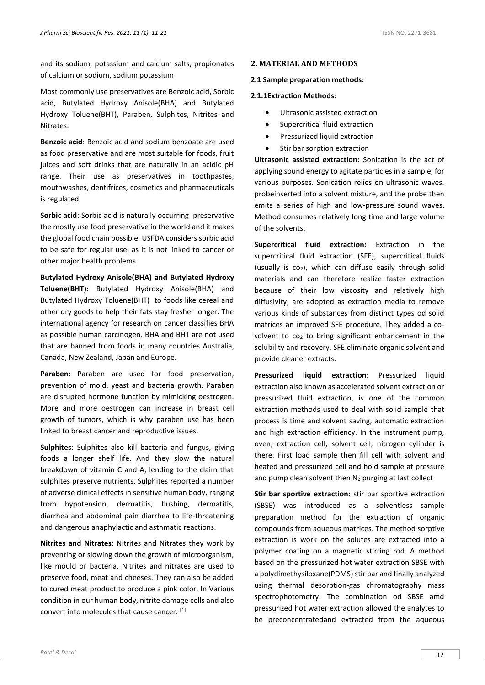and its sodium, potassium and calcium salts, propionates of calcium or sodium, sodium potassium

Most commonly use preservatives are Benzoic acid, Sorbic acid, Butylated Hydroxy Anisole(BHA) and Butylated Hydroxy Toluene(BHT), Paraben, Sulphites, Nitrites and Nitrates.

**Benzoic acid**: Benzoic acid and sodium benzoate are used as food preservative and are most suitable for foods, fruit juices and soft drinks that are naturally in an acidic pH range. Their use as preservatives in toothpastes, mouthwashes, dentifrices, cosmetics and pharmaceuticals is regulated.

**Sorbic acid**: Sorbic acid is naturally occurring preservative the mostly use food preservative in the world and it makes the global food chain possible. USFDA considers sorbic acid to be safe for regular use, as it is not linked to cancer or other major health problems.

**Butylated Hydroxy Anisole(BHA) and Butylated Hydroxy Toluene(BHT):** Butylated Hydroxy Anisole(BHA) and Butylated Hydroxy Toluene(BHT) to foods like cereal and other dry goods to help their fats stay fresher longer. The international agency for research on cancer classifies BHA as possible human carcinogen. BHA and BHT are not used that are banned from foods in many countries Australia, Canada, New Zealand, Japan and Europe.

**Paraben:** Paraben are used for food preservation, prevention of mold, yeast and bacteria growth. Paraben are disrupted hormone function by mimicking oestrogen. More and more oestrogen can increase in breast cell growth of tumors, which is why paraben use has been linked to breast cancer and reproductive issues.

**Sulphites**: Sulphites also kill bacteria and fungus, giving foods a longer shelf life. And they slow the natural breakdown of vitamin C and A, lending to the claim that sulphites preserve nutrients. Sulphites reported a number of adverse clinical effects in sensitive human body, ranging from hypotension, dermatitis, flushing, dermatitis, diarrhea and abdominal pain diarrhea to life-threatening and dangerous anaphylactic and asthmatic reactions.

**Nitrites and Nitrates**: Nitrites and Nitrates they work by preventing or slowing down the growth of microorganism, like mould or bacteria. Nitrites and nitrates are used to preserve food, meat and cheeses. They can also be added to cured meat product to produce a pink color. In Various condition in our human body, nitrite damage cells and also convert into molecules that cause cancer. [1]

#### **2. MATERIAL AND METHODS**

#### **2.1 Sample preparation methods:**

#### **2.1.1Extraction Methods:**

- Ultrasonic assisted extraction
- Supercritical fluid extraction
- Pressurized liquid extraction
- Stir bar sorption extraction

**Ultrasonic assisted extraction:** Sonication is the act of applying sound energy to agitate particles in a sample, for various purposes. Sonication relies on ultrasonic waves. probeinserted into a solvent mixture, and the probe then emits a series of high and low-pressure sound waves. Method consumes relatively long time and large volume of the solvents.

**Supercritical fluid extraction:** Extraction in the supercritical fluid extraction (SFE), supercritical fluids (usually is  $co<sub>2</sub>$ ), which can diffuse easily through solid materials and can therefore realize faster extraction because of their low viscosity and relatively high diffusivity, are adopted as extraction media to remove various kinds of substances from distinct types od solid matrices an improved SFE procedure. They added a cosolvent to co<sub>2</sub> to bring significant enhancement in the solubility and recovery. SFE eliminate organic solvent and provide cleaner extracts.

**Pressurized liquid extraction:** Pressurized liquid extraction also known as accelerated solvent extraction or pressurized fluid extraction, is one of the common extraction methods used to deal with solid sample that process is time and solvent saving, automatic extraction and high extraction efficiency. In the instrument pump, oven, extraction cell, solvent cell, nitrogen cylinder is there. First load sample then fill cell with solvent and heated and pressurized cell and hold sample at pressure and pump clean solvent then N<sub>2</sub> purging at last collect

**Stir bar sportive extraction:** stir bar sportive extraction (SBSE) was introduced as a solventless sample preparation method for the extraction of organic compounds from aqueous matrices. The method sorptive extraction is work on the solutes are extracted into a polymer coating on a magnetic stirring rod. A method based on the pressurized hot water extraction SBSE with a polydimethysiloxane(PDMS) stir bar and finally analyzed using thermal desorption-gas chromatography mass spectrophotometry. The combination od SBSE amd pressurized hot water extraction allowed the analytes to be preconcentratedand extracted from the aqueous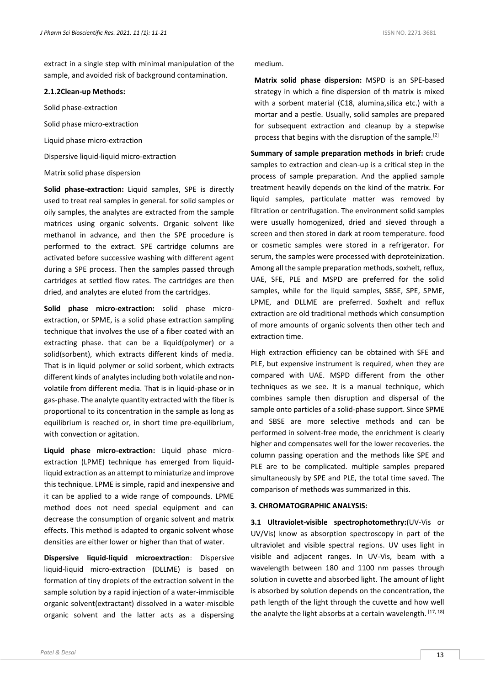extract in a single step with minimal manipulation of the sample, and avoided risk of background contamination.

#### **2.1.2Clean-up Methods:**

Solid phase-extraction

Solid phase micro-extraction

Liquid phase micro-extraction

Dispersive liquid-liquid micro-extraction

#### Matrix solid phase dispersion

**Solid phase-extraction:** Liquid samples, SPE is directly used to treat real samples in general. for solid samples or oily samples, the analytes are extracted from the sample matrices using organic solvents. Organic solvent like methanol in advance, and then the SPE procedure is performed to the extract. SPE cartridge columns are activated before successive washing with different agent during a SPE process. Then the samples passed through cartridges at settled flow rates. The cartridges are then dried, and analytes are eluted from the cartridges.

**Solid phase micro-extraction:** solid phase microextraction, or SPME, is a solid phase extraction sampling technique that involves the use of a fiber coated with an extracting phase. that can be a liquid(polymer) or a solid(sorbent), which extracts different kinds of media. That is in liquid polymer or solid sorbent, which extracts different kinds of analytes including both volatile and nonvolatile from different media. That is in liquid-phase or in gas-phase. The analyte quantity extracted with the fiber is proportional to its concentration in the sample as long as equilibrium is reached or, in short time pre-equilibrium, with convection or agitation.

**Liquid phase micro-extraction:** Liquid phase microextraction (LPME) technique has emerged from liquidliquid extraction as an attempt to miniaturize and improve this technique. LPME is simple, rapid and inexpensive and it can be applied to a wide range of compounds. LPME method does not need special equipment and can decrease the consumption of organic solvent and matrix effects. This method is adapted to organic solvent whose densities are either lower or higher than that of water.

**Dispersive liquid-liquid microextraction**: Dispersive liquid-liquid micro-extraction (DLLME) is based on formation of tiny droplets of the extraction solvent in the sample solution by a rapid injection of a water-immiscible organic solvent(extractant) dissolved in a water-miscible organic solvent and the latter acts as a dispersing

#### medium.

**Matrix solid phase dispersion:** MSPD is an SPE-based strategy in which a fine dispersion of th matrix is mixed with a sorbent material (C18, alumina,silica etc.) with a mortar and a pestle. Usually, solid samples are prepared for subsequent extraction and cleanup by a stepwise process that begins with the disruption of the sample.[2]

**Summary of sample preparation methods in brief:** crude samples to extraction and clean-up is a critical step in the process of sample preparation. And the applied sample treatment heavily depends on the kind of the matrix. For liquid samples, particulate matter was removed by filtration or centrifugation. The environment solid samples were usually homogenized, dried and sieved through a screen and then stored in dark at room temperature. food or cosmetic samples were stored in a refrigerator. For serum, the samples were processed with deproteinization. Among all the sample preparation methods, soxhelt, reflux, UAE, SFE, PLE and MSPD are preferred for the solid samples, while for the liquid samples, SBSE, SPE, SPME, LPME, and DLLME are preferred. Soxhelt and reflux extraction are old traditional methods which consumption of more amounts of organic solvents then other tech and extraction time.

High extraction efficiency can be obtained with SFE and PLE, but expensive instrument is required, when they are compared with UAE. MSPD different from the other techniques as we see. It is a manual technique, which combines sample then disruption and dispersal of the sample onto particles of a solid-phase support. Since SPME and SBSE are more selective methods and can be performed in solvent-free mode, the enrichment is clearly higher and compensates well for the lower recoveries. the column passing operation and the methods like SPE and PLE are to be complicated. multiple samples prepared simultaneously by SPE and PLE, the total time saved. The comparison of methods was summarized in this.

#### **3. CHROMATOGRAPHIC ANALYSIS:**

**3.1 Ultraviolet-visible spectrophotomethry:**(UV-Vis or UV/Vis) know as absorption spectroscopy in part of the ultraviolet and visible spectral regions. UV uses light in visible and adjacent ranges. In UV-Vis, beam with a wavelength between 180 and 1100 nm passes through solution in cuvette and absorbed light. The amount of light is absorbed by solution depends on the concentration, the path length of the light through the cuvette and how well the analyte the light absorbs at a certain wavelength. [17, 18]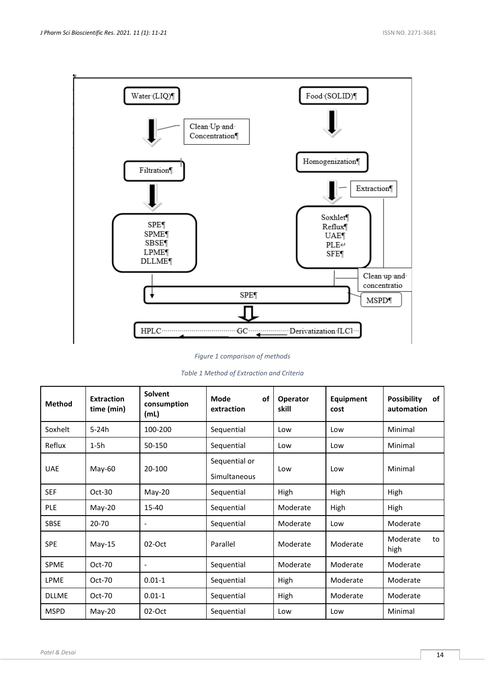

*Figure 1 comparison of methods*

| Table 1 Method of Extraction and Criteria |  |  |
|-------------------------------------------|--|--|
|-------------------------------------------|--|--|

| <b>Method</b> | <b>Extraction</b><br>time (min) | <b>Solvent</b><br>consumption<br>(mL) | Mode<br>οf<br>extraction      | Operator<br>skill | Equipment<br>cost | <b>Possibility</b><br>of<br>automation |
|---------------|---------------------------------|---------------------------------------|-------------------------------|-------------------|-------------------|----------------------------------------|
| Soxhelt       | $5-24h$                         | 100-200                               | Sequential                    | Low               | Low               | Minimal                                |
| Reflux        | $1-5h$                          | 50-150                                | Sequential                    | Low               | Low               | Minimal                                |
| <b>UAE</b>    | May-60                          | 20-100                                | Sequential or<br>Simultaneous | Low               | Low               | Minimal                                |
| <b>SEF</b>    | $Oct-30$                        | May-20                                | Sequential                    | High              | High              | High                                   |
| <b>PLE</b>    | May-20                          | 15-40                                 | Sequential                    | Moderate          | High              | High                                   |
| SBSE          | 20-70                           |                                       | Sequential                    | Moderate          | Low               | Moderate                               |
| <b>SPE</b>    | May-15                          | $02-Oct$                              | Parallel                      | Moderate          | Moderate          | Moderate<br>to<br>high                 |
| <b>SPME</b>   | Oct-70                          |                                       | Sequential                    | Moderate          | Moderate          | Moderate                               |
| <b>LPME</b>   | $Oct-70$                        | $0.01 - 1$                            | Sequential                    | High              | Moderate          | Moderate                               |
| <b>DLLME</b>  | $Oct-70$                        | $0.01 - 1$                            | Sequential                    | High              | Moderate          | Moderate                               |
| <b>MSPD</b>   | $May-20$                        | $02-Oct$                              | Sequential                    | Low               | Low               | Minimal                                |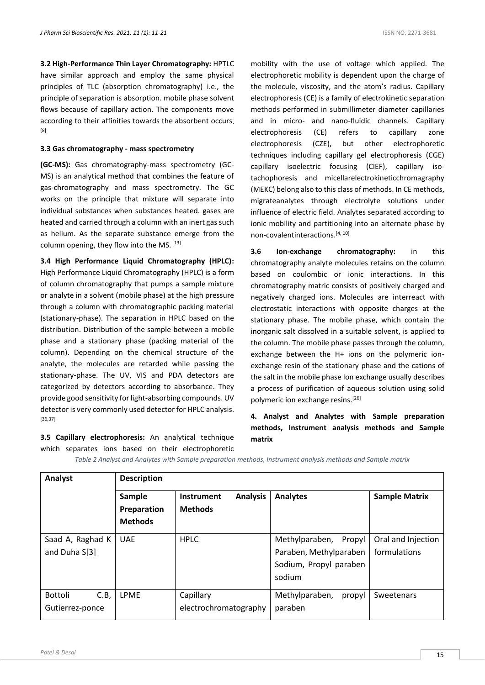**3.2 High-Performance Thin Layer Chromatography:** HPTLC have similar approach and employ the same physical principles of TLC (absorption chromatography) i.e., the principle of separation is absorption. mobile phase solvent flows because of capillary action. The components move according to their affinities towards the absorbent occurs. [8]

## **3.3 Gas chromatography - mass spectrometry**

**(GC-MS):** Gas chromatography-mass spectrometry (GC-MS) is an analytical method that combines the feature of gas-chromatography and mass spectrometry. The GC works on the principle that mixture will separate into individual substances when substances heated. gases are heated and carried through a column with an inert gas such as helium. As the separate substance emerge from the column opening, they flow into the MS. [13]

**3.4 High Performance Liquid Chromatography (HPLC):**  High Performance Liquid Chromatography (HPLC) is a form of column chromatography that pumps a sample mixture or analyte in a solvent (mobile phase) at the high pressure through a column with chromatographic packing material (stationary-phase). The separation in HPLC based on the distribution. Distribution of the sample between a mobile phase and a stationary phase (packing material of the column). Depending on the chemical structure of the analyte, the molecules are retarded while passing the stationary-phase. The UV, VIS and PDA detectors are categorized by detectors according to absorbance. They provide good sensitivity for light-absorbing compounds. UV detector is very commonly used detector for HPLC analysis. [36,37]

**3.5 Capillary electrophoresis:** An analytical technique which separates ions based on their electrophoretic *Table 2 Analyst and Analytes with Sample preparation methods, Instrument analysis methods and Sample matrix*

mobility with the use of voltage which applied. The electrophoretic mobility is dependent upon the charge of the molecule, viscosity, and the atom's radius. Capillary electrophoresis (CE) is a family of electrokinetic separation methods performed in submillimeter diameter capillaries and in micro- and nano-fluidic channels. Capillary electrophoresis (CE) refers to capillary zone electrophoresis (CZE), but other electrophoretic techniques including capillary gel electrophoresis (CGE) capillary isoelectric focusing (CIEF), capillary isotachophoresis and micellarelectrokineticchromagraphy (MEKC) belong also to this class of methods. In CE methods, migrateanalytes through electrolyte solutions under influence of electric field. Analytes separated according to ionic mobility and partitioning into an alternate phase by non-covalentinteractions.[4, 10]

**3.6 Ion-exchange chromatography:** in this chromatography analyte molecules retains on the column based on coulombic or ionic interactions. In this chromatography matric consists of positively charged and negatively charged ions. Molecules are interreact with electrostatic interactions with opposite charges at the stationary phase. The mobile phase, which contain the inorganic salt dissolved in a suitable solvent, is applied to the column. The mobile phase passes through the column, exchange between the H+ ions on the polymeric ionexchange resin of the stationary phase and the cations of the salt in the mobile phase Ion exchange usually describes a process of purification of aqueous solution using solid polymeric ion exchange resins. [26]

**4. Analyst and Analytes with Sample preparation methods, Instrument analysis methods and Sample matrix**

| <b>Analyst</b> | <b>Description</b> |
|----------------|--------------------|

| , ,,,,,,,,,                              | -----------                             |                                                 |                                                                                     |                                    |
|------------------------------------------|-----------------------------------------|-------------------------------------------------|-------------------------------------------------------------------------------------|------------------------------------|
|                                          | Sample<br>Preparation<br><b>Methods</b> | <b>Analysis</b><br>Instrument<br><b>Methods</b> | <b>Analytes</b>                                                                     | <b>Sample Matrix</b>               |
| Saad A, Raghad K<br>and Duha S[3]        | <b>UAE</b>                              | <b>HPLC</b>                                     | Methylparaben, Propyl<br>Paraben, Methylparaben<br>Sodium, Propyl paraben<br>sodium | Oral and Injection<br>formulations |
| <b>Bottoli</b><br>C.B<br>Gutierrez-ponce | <b>LPME</b>                             | Capillary<br>electrochromatography              | Methylparaben,<br>propyl<br>paraben                                                 | Sweetenars                         |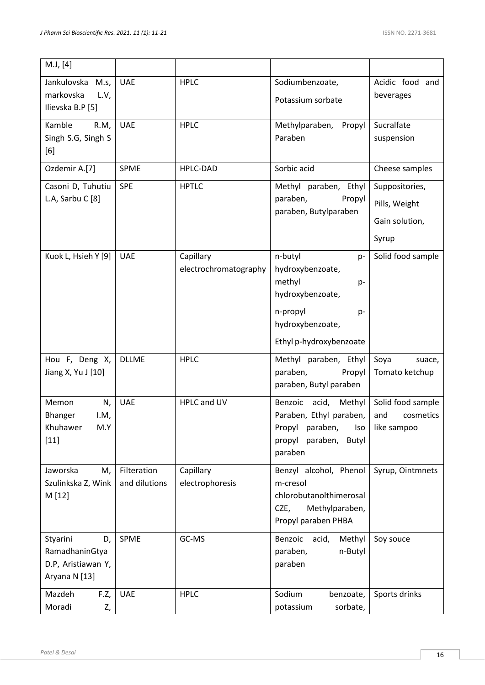| M.J, [4]                                                                |                              |                                    |                                                                                                                              |                                                            |
|-------------------------------------------------------------------------|------------------------------|------------------------------------|------------------------------------------------------------------------------------------------------------------------------|------------------------------------------------------------|
| Jankulovska M.s,<br>markovska<br>L.V,<br>Ilievska B.P [5]               | <b>UAE</b>                   | <b>HPLC</b>                        | Sodiumbenzoate,<br>Potassium sorbate                                                                                         | Acidic food and<br>beverages                               |
| Kamble<br>R.M,<br>Singh S.G, Singh S<br>[6]                             | <b>UAE</b>                   | <b>HPLC</b>                        | Methylparaben,<br>Propyl<br>Paraben                                                                                          | Sucralfate<br>suspension                                   |
| Ozdemir A.[7]                                                           | SPME                         | HPLC-DAD                           | Sorbic acid                                                                                                                  | Cheese samples                                             |
| Casoni D, Tuhutiu<br>L.A, Sarbu C [8]                                   | <b>SPE</b>                   | <b>HPTLC</b>                       | Methyl paraben, Ethyl<br>paraben,<br>Propyl<br>paraben, Butylparaben                                                         | Suppositories,<br>Pills, Weight<br>Gain solution,<br>Syrup |
| Kuok L, Hsieh Y [9]                                                     | <b>UAE</b>                   | Capillary<br>electrochromatography | n-butyl<br>$p-$<br>hydroxybenzoate,<br>methyl<br>p-<br>hydroxybenzoate,<br>n-propyl<br>p-<br>hydroxybenzoate,                | Solid food sample                                          |
|                                                                         |                              |                                    | Ethyl p-hydroxybenzoate                                                                                                      |                                                            |
| Hou F, Deng X,<br>Jiang X, Yu J [10]                                    | <b>DLLME</b>                 | <b>HPLC</b>                        | Methyl paraben, Ethyl<br>paraben,<br>Propyl<br>paraben, Butyl paraben                                                        | Soya<br>suace,<br>Tomato ketchup                           |
| Memon<br>N,<br>I.M,<br><b>Bhanger</b><br>Khuhawer<br>M.Y<br>$[11]$      | <b>UAE</b>                   | HPLC and UV                        | Benzoic<br>acid,<br>Methyl<br>Paraben, Ethyl paraben,<br>Propyl<br>paraben,<br>Iso<br>propyl<br>paraben,<br>Butyl<br>paraben | Solid food sample<br>and<br>cosmetics<br>like sampoo       |
| Jaworska<br>М,<br>Szulinkska Z, Wink<br>M [12]                          | Filteration<br>and dilutions | Capillary<br>electrophoresis       | Benzyl alcohol, Phenol<br>m-cresol<br>chlorobutanolthimerosal<br>Methylparaben,<br>CZE,<br>Propyl paraben PHBA               | Syrup, Ointmnets                                           |
| Styarini<br>D,<br>RamadhaninGtya<br>D.P, Aristiawan Y,<br>Aryana N [13] | SPME                         | GC-MS                              | Benzoic<br>acid,<br>Methyl<br>paraben,<br>n-Butyl<br>paraben                                                                 | Soy souce                                                  |
| Mazdeh<br>F.Z,<br>Moradi<br>Z,                                          | <b>UAE</b>                   | <b>HPLC</b>                        | Sodium<br>benzoate,<br>sorbate,<br>potassium                                                                                 | Sports drinks                                              |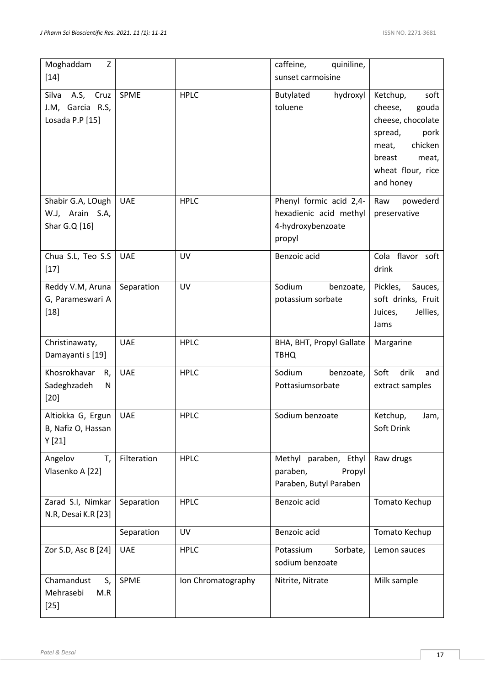| Moghaddam<br>Z<br>$[14]$                                  |             |             | quiniline,<br>caffeine,<br>sunset carmoisine                                     |                                                                                                                                                       |
|-----------------------------------------------------------|-------------|-------------|----------------------------------------------------------------------------------|-------------------------------------------------------------------------------------------------------------------------------------------------------|
| A.S, Cruz<br>Silva<br>J.M, Garcia R.S,<br>Losada P.P [15] | SPME        | <b>HPLC</b> | Butylated<br>hydroxyl<br>toluene                                                 | Ketchup,<br>soft<br>cheese,<br>gouda<br>cheese, chocolate<br>spread,<br>pork<br>chicken<br>meat,<br>meat,<br>breast<br>wheat flour, rice<br>and honey |
| Shabir G.A, LOugh<br>W.J, Arain S.A,<br>Shar G.Q [16]     | <b>UAE</b>  | <b>HPLC</b> | Phenyl formic acid 2,4-<br>hexadienic acid methyl<br>4-hydroxybenzoate<br>propyl | powederd<br>Raw<br>preservative                                                                                                                       |
| Chua S.L, Teo S.S<br>$[17]$                               | <b>UAE</b>  | UV          | Benzoic acid                                                                     | Cola flavor soft<br>drink                                                                                                                             |
| Reddy V.M, Aruna<br>G, Parameswari A<br>$[18]$            | Separation  | UV          | Sodium<br>benzoate,<br>potassium sorbate                                         | Pickles,<br>Sauces,<br>soft drinks, Fruit<br>Jellies,<br>Juices,<br>Jams                                                                              |
| Christinawaty,                                            | <b>UAE</b>  | <b>HPLC</b> | BHA, BHT, Propyl Gallate                                                         | Margarine                                                                                                                                             |
| Damayanti s [19]                                          |             |             | <b>TBHQ</b>                                                                      |                                                                                                                                                       |
| Khosrokhavar<br>R,<br>Sadeghzadeh<br>N<br>$[20]$          | <b>UAE</b>  | <b>HPLC</b> | Sodium<br>benzoate,<br>Pottasiumsorbate                                          | Soft<br>drik<br>and<br>extract samples                                                                                                                |
| Altiokka G, Ergun<br>B, Nafiz O, Hassan<br>Y[21]          | <b>UAE</b>  | <b>HPLC</b> | Sodium benzoate                                                                  | Ketchup,<br>Jam,<br>Soft Drink                                                                                                                        |
| Angelov<br>T,<br>Vlasenko A [22]                          | Filteration | <b>HPLC</b> | Methyl paraben, Ethyl<br>paraben,<br>Propyl<br>Paraben, Butyl Paraben            | Raw drugs                                                                                                                                             |
| Zarad S.I, Nimkar<br>N.R, Desai K.R [23]                  | Separation  | <b>HPLC</b> | Benzoic acid                                                                     | Tomato Kechup                                                                                                                                         |
|                                                           | Separation  | UV          | Benzoic acid                                                                     | Tomato Kechup                                                                                                                                         |
| Zor S.D, Asc B [24]                                       | <b>UAE</b>  | <b>HPLC</b> | Potassium<br>Sorbate,<br>sodium benzoate                                         | Lemon sauces                                                                                                                                          |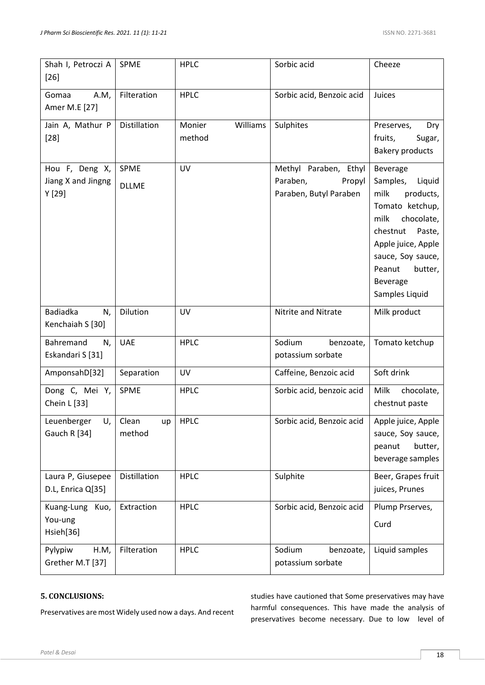| Shah I, Petroczi A<br>$[26]$                  | <b>SPME</b>                 | <b>HPLC</b>                  | Sorbic acid                                                           | Cheeze                                                                                                                                                                                                           |
|-----------------------------------------------|-----------------------------|------------------------------|-----------------------------------------------------------------------|------------------------------------------------------------------------------------------------------------------------------------------------------------------------------------------------------------------|
| Gomaa<br>A.M,<br>Amer M.E [27]                | Filteration                 | <b>HPLC</b>                  | Sorbic acid, Benzoic acid                                             | Juices                                                                                                                                                                                                           |
| Jain A, Mathur P<br>$[28]$                    | Distillation                | Williams<br>Monier<br>method | Sulphites                                                             | Preserves,<br>Dry<br>fruits,<br>Sugar,<br><b>Bakery products</b>                                                                                                                                                 |
| Hou F, Deng X,<br>Jiang X and Jingng<br>Y[29] | <b>SPME</b><br><b>DLLME</b> | <b>UV</b>                    | Methyl Paraben, Ethyl<br>Paraben,<br>Propyl<br>Paraben, Butyl Paraben | Beverage<br>Samples,<br>Liquid<br>milk<br>products,<br>Tomato ketchup,<br>milk<br>chocolate,<br>chestnut<br>Paste,<br>Apple juice, Apple<br>sauce, Soy sauce,<br>Peanut<br>butter,<br>Beverage<br>Samples Liquid |
| <b>Badiadka</b><br>N,<br>Kenchaiah S [30]     | Dilution                    | UV                           | Nitrite and Nitrate                                                   | Milk product                                                                                                                                                                                                     |
| Bahremand<br>N,<br>Eskandari S [31]           | <b>UAE</b>                  | <b>HPLC</b>                  | Sodium<br>benzoate,<br>potassium sorbate                              | Tomato ketchup                                                                                                                                                                                                   |
| AmponsahD[32]                                 | Separation                  | UV                           | Caffeine, Benzoic acid                                                | Soft drink                                                                                                                                                                                                       |
| Dong C, Mei Y,<br>Chein L [33]                | SPME                        | <b>HPLC</b>                  | Sorbic acid, benzoic acid                                             | <b>Milk</b><br>chocolate,<br>chestnut paste                                                                                                                                                                      |
| Leuenberger U,<br>Gauch R [34]                | Clean<br>method             | $up$ HPLC                    | Sorbic acid, Benzoic acid                                             | Apple juice, Apple<br>sauce, Soy sauce,<br>butter,<br>peanut<br>beverage samples                                                                                                                                 |
| Laura P, Giusepee<br>D.L, Enrica Q[35]        | Distillation                | <b>HPLC</b>                  | Sulphite                                                              | Beer, Grapes fruit<br>juices, Prunes                                                                                                                                                                             |
| Kuang-Lung Kuo,<br>You-ung<br>Hsieh[36]       | Extraction                  | <b>HPLC</b>                  | Sorbic acid, Benzoic acid                                             | Plump Prserves,<br>Curd                                                                                                                                                                                          |
| Pylypiw<br>H.M,<br>Grether M.T [37]           | Filteration                 | <b>HPLC</b>                  | Sodium<br>benzoate,<br>potassium sorbate                              | Liquid samples                                                                                                                                                                                                   |

## **5. CONCLUSIONS:**

Preservatives are most Widely used now a days. And recent

studies have cautioned that Some preservatives may have harmful consequences. This have made the analysis of preservatives become necessary. Due to low level of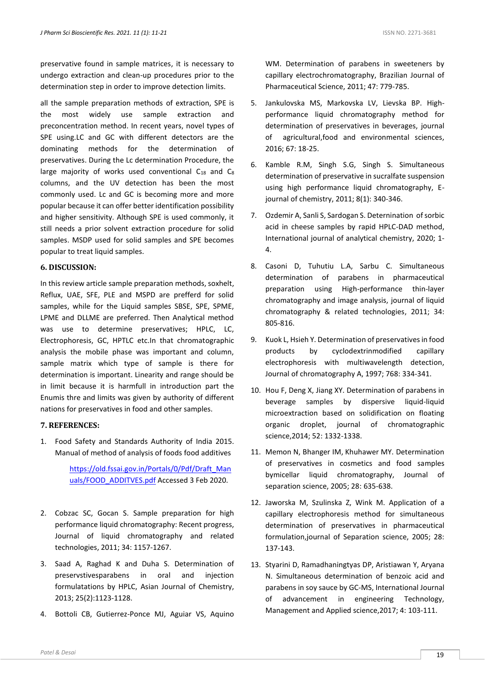preservative found in sample matrices, it is necessary to undergo extraction and clean-up procedures prior to the determination step in order to improve detection limits.

all the sample preparation methods of extraction, SPE is the most widely use sample extraction and preconcentration method. In recent years, novel types of SPE using.LC and GC with different detectors are the dominating methods for the determination of preservatives. During the Lc determination Procedure, the large majority of works used conventional  $C_{18}$  and  $C_{8}$ columns, and the UV detection has been the most commonly used. Lc and GC is becoming more and more popular because it can offer better identification possibility and higher sensitivity. Although SPE is used commonly, it still needs a prior solvent extraction procedure for solid samples. MSDP used for solid samples and SPE becomes popular to treat liquid samples.

## **6. DISCUSSION:**

In this review article sample preparation methods, soxhelt, Reflux, UAE, SFE, PLE and MSPD are prefferd for solid samples, while for the Liquid samples SBSE, SPE, SPME, LPME and DLLME are preferred. Then Analytical method was use to determine preservatives; HPLC, LC, Electrophoresis, GC, HPTLC etc.In that chromatographic analysis the mobile phase was important and column, sample matrix which type of sample is there for determination is important. Linearity and range should be in limit because it is harmfull in introduction part the Enumis thre and limits was given by authority of different nations for preservatives in food and other samples.

### **7. REFERENCES:**

1. Food Safety and Standards Authority of India 2015. Manual of method of analysis of foods food additives

> [https://old.fssai.gov.in/Portals/0/Pdf/Draft\\_Man](https://old.fssai.gov.in/Portals/0/Pdf/Draft_Manuals/FOOD_ADDITVES.pdf) [uals/FOOD\\_ADDITVES.pdf](https://old.fssai.gov.in/Portals/0/Pdf/Draft_Manuals/FOOD_ADDITVES.pdf) Accessed 3 Feb 2020.

- 2. Cobzac SC, Gocan S. Sample preparation for high performance liquid chromatography: Recent progress, Journal of liquid chromatography and related technologies, 2011; 34: 1157-1267.
- 3. Saad A, Raghad K and Duha S. Determination of preservstivesparabens in oral and injection formulatations by HPLC, Asian Journal of Chemistry, 2013; 25(2):1123-1128.
- 4. Bottoli CB, Gutierrez-Ponce MJ, Aguiar VS, Aquino

WM. Determination of parabens in sweeteners by capillary electrochromatography, Brazilian Journal of Pharmaceutical Science, 2011; 47: 779-785.

- 5. Jankulovska MS, Markovska LV, Lievska BP. Highperformance liquid chromatography method for determination of preservatives in beverages, journal of agricultural,food and environmental sciences, 2016; 67: 18-25.
- 6. Kamble R.M, Singh S.G, Singh S. Simultaneous determination of preservative in sucralfate suspension using high performance liquid chromatography, Ejournal of chemistry, 2011; 8(1): 340-346.
- 7. Ozdemir A, Sanli S, Sardogan S. Deternination of sorbic acid in cheese samples by rapid HPLC-DAD method, International journal of analytical chemistry, 2020; 1- 4.
- 8. Casoni D, Tuhutiu L.A, Sarbu C. Simultaneous determination of parabens in pharmaceutical preparation using High-performance thin-layer chromatography and image analysis, journal of liquid chromatography & related technologies, 2011; 34: 805-816.
- 9. Kuok L, Hsieh Y. Determination of preservatives in food products by cyclodextrinmodified capillary electrophoresis with multiwavelength detection, Journal of chromatography A, 1997; 768: 334-341.
- 10. Hou F, Deng X, Jiang XY. Determination of parabens in beverage samples by dispersive liquid-liquid microextraction based on solidification on floating organic droplet, journal of chromatographic science,2014; 52: 1332-1338.
- 11. Memon N, Bhanger IM, Khuhawer MY. Determination of preservatives in cosmetics and food samples bymicellar liquid chromatography, Journal of separation science, 2005; 28: 635-638.
- 12. Jaworska M, Szulinska Z, Wink M. Application of a capillary electrophoresis method for simultaneous determination of preservatives in pharmaceutical formulation,journal of Separation science, 2005; 28: 137-143.
- 13. Styarini D, Ramadhaningtyas DP, Aristiawan Y, Aryana N. Simultaneous determination of benzoic acid and parabens in soy sauce by GC-MS, International Journal of advancement in engineering Technology, Management and Applied science,2017; 4: 103-111.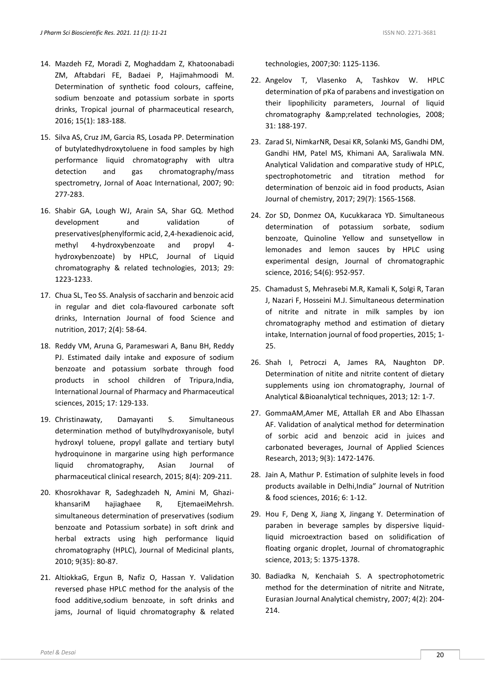- 14. Mazdeh FZ, Moradi Z, Moghaddam Z, Khatoonabadi ZM, Aftabdari FE, Badaei P, Hajimahmoodi M. Determination of synthetic food colours, caffeine, sodium benzoate and potassium sorbate in sports drinks, Tropical journal of pharmaceutical research, 2016; 15(1): 183-188.
- 15. Silva AS, Cruz JM, Garcia RS, Losada PP. Determination of butylatedhydroxytoluene in food samples by high performance liquid chromatography with ultra detection and gas chromatography/mass spectrometry, Jornal of Aoac International, 2007; 90: 277-283.
- 16. Shabir GA, Lough WJ, Arain SA, Shar GQ. Method development and validation of preservatives(phenylformic acid, 2,4-hexadienoic acid, methyl 4-hydroxybenzoate and propyl 4 hydroxybenzoate) by HPLC, Journal of Liquid chromatography & related technologies, 2013; 29: 1223-1233.
- 17. Chua SL, Teo SS. Analysis of saccharin and benzoic acid in regular and diet cola-flavoured carbonate soft drinks, Internation Journal of food Science and nutrition, 2017; 2(4): 58-64.
- 18. Reddy VM, Aruna G, Parameswari A, Banu BH, Reddy PJ. Estimated daily intake and exposure of sodium benzoate and potassium sorbate through food products in school children of Tripura,India, International Journal of Pharmacy and Pharmaceutical sciences, 2015; 17: 129-133.
- 19. Christinawaty, Damayanti S. Simultaneous determination method of butylhydroxyanisole, butyl hydroxyl toluene, propyl gallate and tertiary butyl hydroquinone in margarine using high performance liquid chromatography, Asian Journal of pharmaceutical clinical research, 2015; 8(4): 209-211.
- 20. Khosrokhavar R, Sadeghzadeh N, Amini M, GhazikhansariM hajiaghaee R, EjtemaeiMehrsh. simultaneous determination of preservatives (sodium benzoate and Potassium sorbate) in soft drink and herbal extracts using high performance liquid chromatography (HPLC), Journal of Medicinal plants, 2010; 9(35): 80-87.
- 21. AltiokkaG, Ergun B, Nafiz O, Hassan Y. Validation reversed phase HPLC method for the analysis of the food additive,sodium benzoate, in soft drinks and jams, Journal of liquid chromatography & related

technologies, 2007;30: 1125-1136.

- 22. Angelov T, Vlasenko A, Tashkov W. HPLC determination of pKa of parabens and investigation on their lipophilicity parameters, Journal of liquid chromatography &related technologies, 2008; 31: 188-197.
- 23. Zarad SI, NimkarNR, Desai KR, Solanki MS, Gandhi DM, Gandhi HM, Patel MS, Khimani AA, Saraliwala MN. Analytical Validation and comparative study of HPLC, spectrophotometric and titration method for determination of benzoic aid in food products, Asian Journal of chemistry, 2017; 29(7): 1565-1568.
- 24. Zor SD, Donmez OA, Kucukkaraca YD. Simultaneous determination of potassium sorbate, sodium benzoate, Quinoline Yellow and sunsetyellow in lemonades and lemon sauces by HPLC using experimental design, Journal of chromatographic science, 2016; 54(6): 952-957.
- 25. Chamadust S, Mehrasebi M.R, Kamali K, Solgi R, Taran J, Nazari F, Hosseini M.J. Simultaneous determination of nitrite and nitrate in milk samples by ion chromatography method and estimation of dietary intake, Internation journal of food properties, 2015; 1- 25.
- 26. Shah I, Petroczi A, James RA, Naughton DP. Determination of nitite and nitrite content of dietary supplements using ion chromatography, Journal of Analytical &Bioanalytical techniques, 2013; 12: 1-7.
- 27. GommaAM,Amer ME, Attallah ER and Abo Elhassan AF. Validation of analytical method for determination of sorbic acid and benzoic acid in juices and carbonated beverages, Journal of Applied Sciences Research, 2013; 9(3): 1472-1476.
- 28. Jain A, Mathur P. Estimation of sulphite levels in food products available in Delhi,India" Journal of Nutrition & food sciences, 2016; 6: 1-12.
- 29. Hou F, Deng X, Jiang X, Jingang Y. Determination of paraben in beverage samples by dispersive liquidliquid microextraction based on solidification of floating organic droplet, Journal of chromatographic science, 2013; 5: 1375-1378.
- 30. Badiadka N, Kenchaiah S. A spectrophotometric method for the determination of nitrite and Nitrate, Eurasian Journal Analytical chemistry, 2007; 4(2): 204- 214.